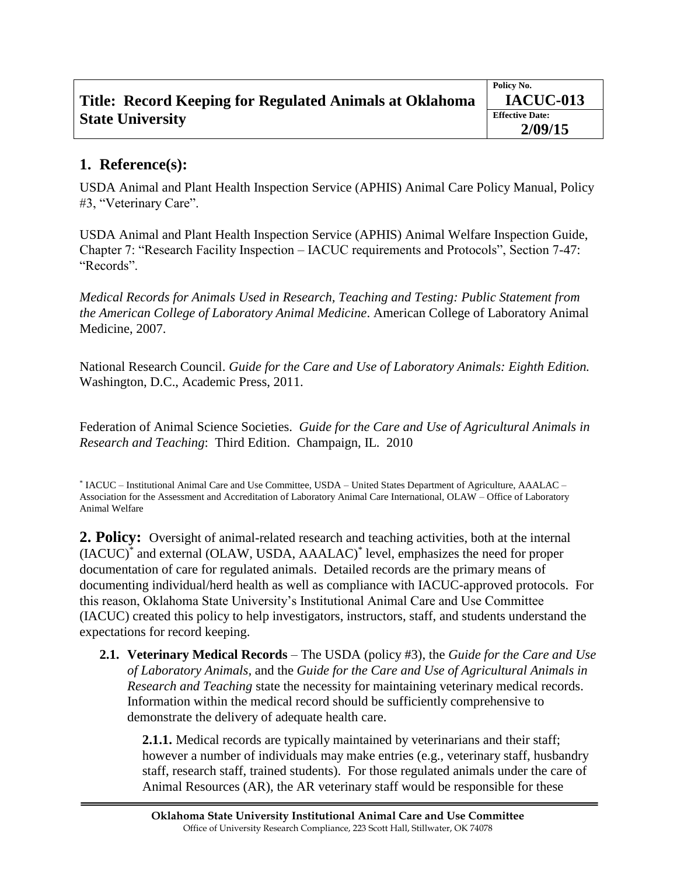| Title: Record Keeping for Regulated Animals at Oklahoma | Policy No.<br><b>IACUC-013</b>    |
|---------------------------------------------------------|-----------------------------------|
| <b>State University</b>                                 | <b>Effective Date:</b><br>2/09/15 |

## **1. Reference(s):**

USDA Animal and Plant Health Inspection Service (APHIS) Animal Care Policy Manual, Policy #3, "Veterinary Care".

USDA Animal and Plant Health Inspection Service (APHIS) Animal Welfare Inspection Guide, Chapter 7: "Research Facility Inspection – IACUC requirements and Protocols", Section 7-47: "Records".

*Medical Records for Animals Used in Research, Teaching and Testing: Public Statement from the American College of Laboratory Animal Medicine*. American College of Laboratory Animal Medicine, 2007.

National Research Council. *Guide for the Care and Use of Laboratory Animals: Eighth Edition.*  Washington, D.C., Academic Press, 2011.

Federation of Animal Science Societies. *Guide for the Care and Use of Agricultural Animals in Research and Teaching*: Third Edition. Champaign, IL. 2010

\* IACUC – Institutional Animal Care and Use Committee, USDA – United States Department of Agriculture, AAALAC – Association for the Assessment and Accreditation of Laboratory Animal Care International, OLAW – Office of Laboratory Animal Welfare

**2. Policy:** Oversight of animal-related research and teaching activities, both at the internal (IACUC)\* and external (OLAW, USDA, AAALAC)\* level, emphasizes the need for proper documentation of care for regulated animals. Detailed records are the primary means of documenting individual/herd health as well as compliance with IACUC-approved protocols. For this reason, Oklahoma State University's Institutional Animal Care and Use Committee (IACUC) created this policy to help investigators, instructors, staff, and students understand the expectations for record keeping.

**2.1. Veterinary Medical Records** – The USDA (policy #3), the *Guide for the Care and Use of Laboratory Animals,* and the *Guide for the Care and Use of Agricultural Animals in Research and Teaching* state the necessity for maintaining veterinary medical records. Information within the medical record should be sufficiently comprehensive to demonstrate the delivery of adequate health care.

**2.1.1.** Medical records are typically maintained by veterinarians and their staff; however a number of individuals may make entries (e.g., veterinary staff, husbandry staff, research staff, trained students). For those regulated animals under the care of Animal Resources (AR), the AR veterinary staff would be responsible for these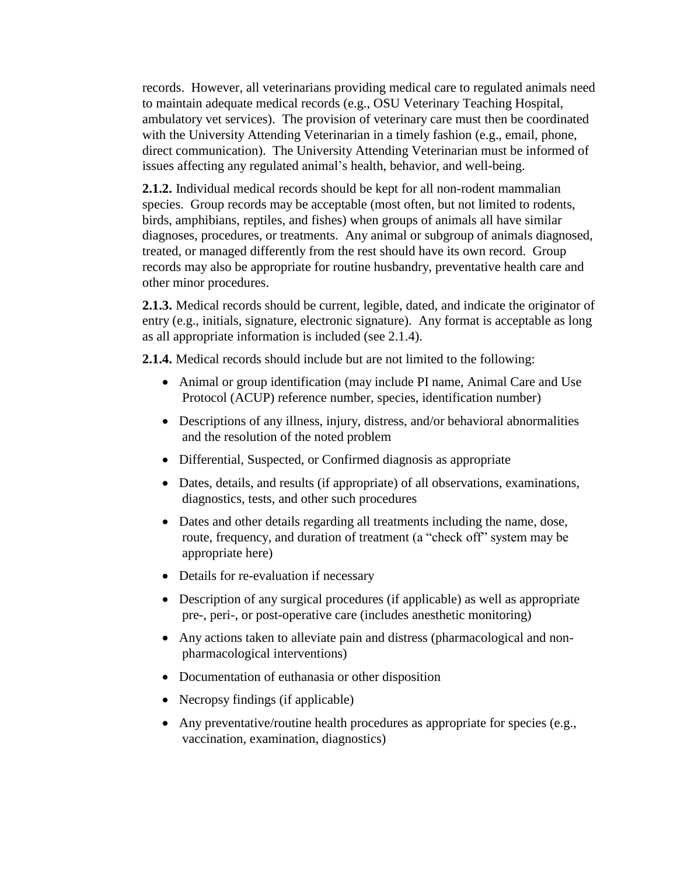records. However, all veterinarians providing medical care to regulated animals need to maintain adequate medical records (e.g., OSU Veterinary Teaching Hospital, ambulatory vet services). The provision of veterinary care must then be coordinated with the University Attending Veterinarian in a timely fashion (e.g., email, phone, direct communication). The University Attending Veterinarian must be informed of issues affecting any regulated animal's health, behavior, and well-being.

**2.1.2.** Individual medical records should be kept for all non-rodent mammalian species. Group records may be acceptable (most often, but not limited to rodents, birds, amphibians, reptiles, and fishes) when groups of animals all have similar diagnoses, procedures, or treatments. Any animal or subgroup of animals diagnosed, treated, or managed differently from the rest should have its own record. Group records may also be appropriate for routine husbandry, preventative health care and other minor procedures.

**2.1.3.** Medical records should be current, legible, dated, and indicate the originator of entry (e.g., initials, signature, electronic signature). Any format is acceptable as long as all appropriate information is included (see 2.1.4).

**2.1.4.** Medical records should include but are not limited to the following:

- Animal or group identification (may include PI name, Animal Care and Use Protocol (ACUP) reference number, species, identification number)
- Descriptions of any illness, injury, distress, and/or behavioral abnormalities and the resolution of the noted problem
- Differential, Suspected, or Confirmed diagnosis as appropriate
- Dates, details, and results (if appropriate) of all observations, examinations, diagnostics, tests, and other such procedures
- Dates and other details regarding all treatments including the name, dose, route, frequency, and duration of treatment (a "check off" system may be appropriate here)
- Details for re-evaluation if necessary
- Description of any surgical procedures (if applicable) as well as appropriate pre-, peri-, or post-operative care (includes anesthetic monitoring)
- Any actions taken to alleviate pain and distress (pharmacological and nonpharmacological interventions)
- Documentation of euthanasia or other disposition
- Necropsy findings (if applicable)
- Any preventative/routine health procedures as appropriate for species (e.g., vaccination, examination, diagnostics)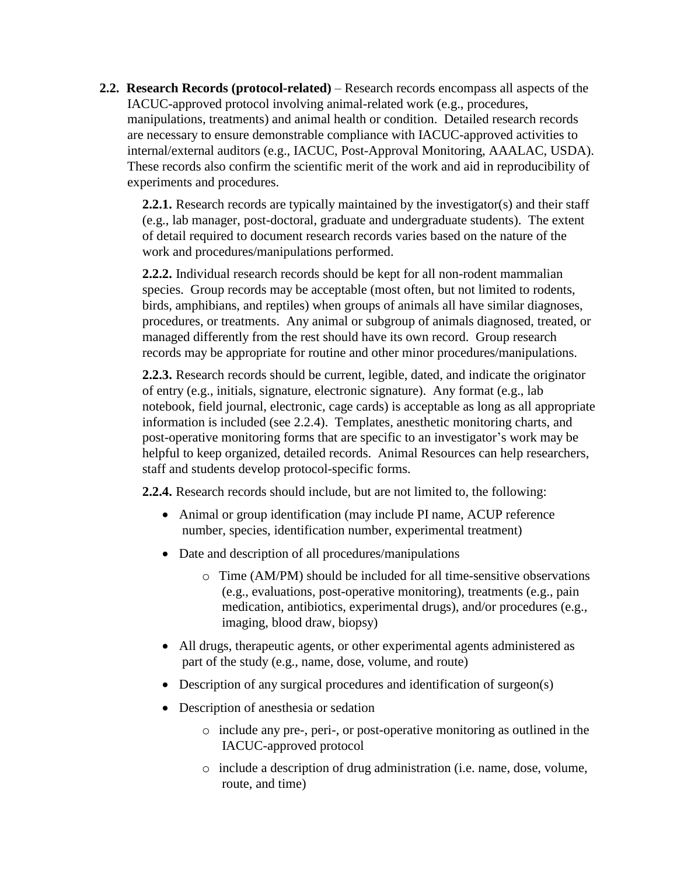**2.2. Research Records (protocol-related)** – Research records encompass all aspects of the IACUC-approved protocol involving animal-related work (e.g., procedures, manipulations, treatments) and animal health or condition. Detailed research records are necessary to ensure demonstrable compliance with IACUC-approved activities to internal/external auditors (e.g., IACUC, Post-Approval Monitoring, AAALAC, USDA). These records also confirm the scientific merit of the work and aid in reproducibility of experiments and procedures.

**2.2.1.** Research records are typically maintained by the investigator(s) and their staff (e.g., lab manager, post-doctoral, graduate and undergraduate students). The extent of detail required to document research records varies based on the nature of the work and procedures/manipulations performed.

**2.2.2.** Individual research records should be kept for all non-rodent mammalian species. Group records may be acceptable (most often, but not limited to rodents, birds, amphibians, and reptiles) when groups of animals all have similar diagnoses, procedures, or treatments. Any animal or subgroup of animals diagnosed, treated, or managed differently from the rest should have its own record. Group research records may be appropriate for routine and other minor procedures/manipulations.

**2.2.3.** Research records should be current, legible, dated, and indicate the originator of entry (e.g., initials, signature, electronic signature). Any format (e.g., lab notebook, field journal, electronic, cage cards) is acceptable as long as all appropriate information is included (see 2.2.4). Templates, anesthetic monitoring charts, and post-operative monitoring forms that are specific to an investigator's work may be helpful to keep organized, detailed records. Animal Resources can help researchers, staff and students develop protocol-specific forms.

**2.2.4.** Research records should include, but are not limited to, the following:

- Animal or group identification (may include PI name, ACUP reference number, species, identification number, experimental treatment)
- Date and description of all procedures/manipulations
	- o Time (AM/PM) should be included for all time-sensitive observations (e.g., evaluations, post-operative monitoring), treatments (e.g., pain medication, antibiotics, experimental drugs), and/or procedures (e.g., imaging, blood draw, biopsy)
- All drugs, therapeutic agents, or other experimental agents administered as part of the study (e.g., name, dose, volume, and route)
- Description of any surgical procedures and identification of surgeon(s)
- Description of anesthesia or sedation
	- o include any pre-, peri-, or post-operative monitoring as outlined in the IACUC-approved protocol
	- o include a description of drug administration (i.e. name, dose, volume, route, and time)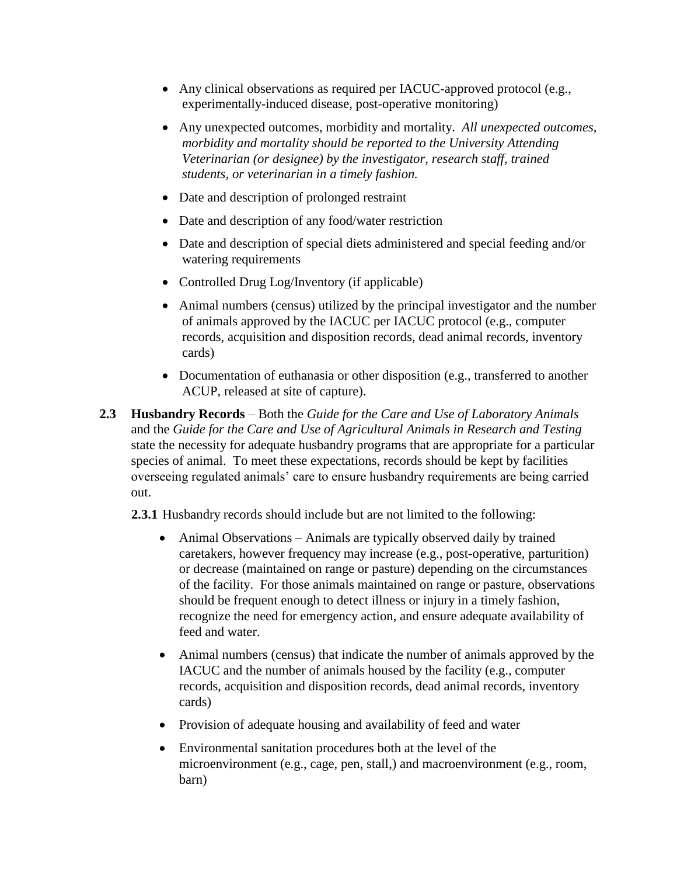- Any clinical observations as required per IACUC-approved protocol (e.g., experimentally-induced disease, post-operative monitoring)
- Any unexpected outcomes, morbidity and mortality. *All unexpected outcomes, morbidity and mortality should be reported to the University Attending Veterinarian (or designee) by the investigator, research staff, trained students, or veterinarian in a timely fashion.*
- Date and description of prolonged restraint
- Date and description of any food/water restriction
- Date and description of special diets administered and special feeding and/or watering requirements
- Controlled Drug Log/Inventory (if applicable)
- Animal numbers (census) utilized by the principal investigator and the number of animals approved by the IACUC per IACUC protocol (e.g., computer records, acquisition and disposition records, dead animal records, inventory cards)
- Documentation of euthanasia or other disposition (e.g., transferred to another ACUP, released at site of capture).
- **2.3 Husbandry Records** Both the *Guide for the Care and Use of Laboratory Animals*  and the *Guide for the Care and Use of Agricultural Animals in Research and Testing* state the necessity for adequate husbandry programs that are appropriate for a particular species of animal. To meet these expectations, records should be kept by facilities overseeing regulated animals' care to ensure husbandry requirements are being carried out.

**2.3.1** Husbandry records should include but are not limited to the following:

- Animal Observations Animals are typically observed daily by trained caretakers, however frequency may increase (e.g., post-operative, parturition) or decrease (maintained on range or pasture) depending on the circumstances of the facility. For those animals maintained on range or pasture, observations should be frequent enough to detect illness or injury in a timely fashion, recognize the need for emergency action, and ensure adequate availability of feed and water.
- Animal numbers (census) that indicate the number of animals approved by the IACUC and the number of animals housed by the facility (e.g., computer records, acquisition and disposition records, dead animal records, inventory cards)
- Provision of adequate housing and availability of feed and water
- Environmental sanitation procedures both at the level of the microenvironment (e.g., cage, pen, stall,) and macroenvironment (e.g., room, barn)